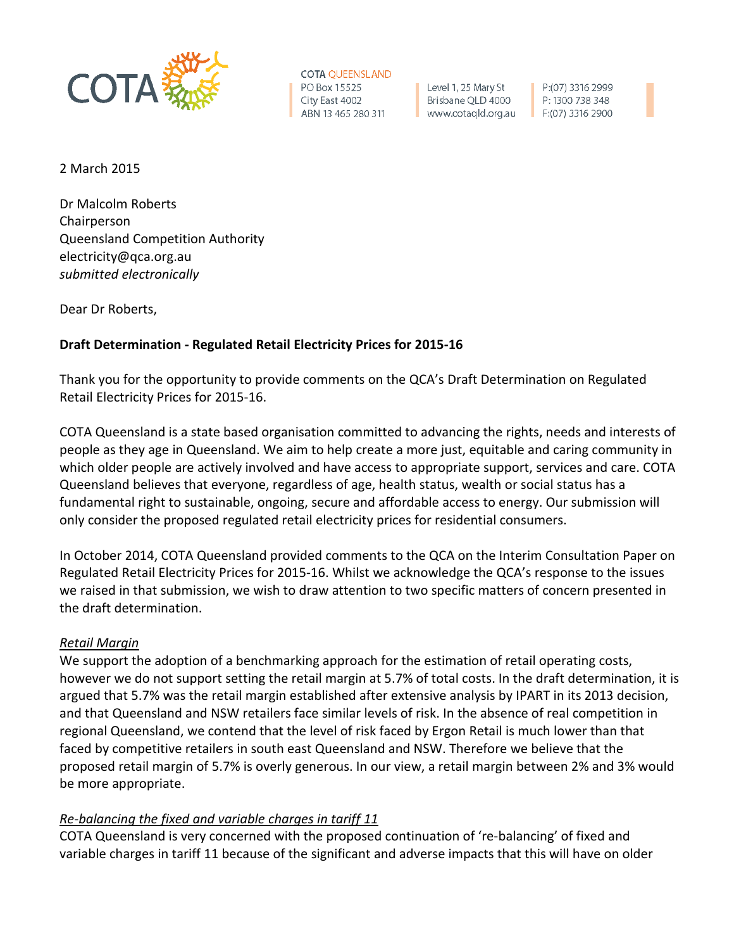

**COTA QUEENSLAND** PO Box 15525 City East 4002 ABN 13 465 280 311

Level 1, 25 Mary St Brisbane QLD 4000 www.cotaqld.org.au

P:(07) 3316 2999 P: 1300 738 348  $F:(07)$  3316 2900

2 March 2015

Dr Malcolm Roberts Chairperson Queensland Competition Authority electricity@qca.org.au *submitted electronically*

Dear Dr Roberts,

## **Draft Determination - Regulated Retail Electricity Prices for 2015-16**

Thank you for the opportunity to provide comments on the QCA's Draft Determination on Regulated Retail Electricity Prices for 2015-16.

COTA Queensland is a state based organisation committed to advancing the rights, needs and interests of people as they age in Queensland. We aim to help create a more just, equitable and caring community in which older people are actively involved and have access to appropriate support, services and care. COTA Queensland believes that everyone, regardless of age, health status, wealth or social status has a fundamental right to sustainable, ongoing, secure and affordable access to energy. Our submission will only consider the proposed regulated retail electricity prices for residential consumers.

In October 2014, COTA Queensland provided comments to the QCA on the Interim Consultation Paper on Regulated Retail Electricity Prices for 2015-16. Whilst we acknowledge the QCA's response to the issues we raised in that submission, we wish to draw attention to two specific matters of concern presented in the draft determination.

## *Retail Margin*

We support the adoption of a benchmarking approach for the estimation of retail operating costs, however we do not support setting the retail margin at 5.7% of total costs. In the draft determination, it is argued that 5.7% was the retail margin established after extensive analysis by IPART in its 2013 decision, and that Queensland and NSW retailers face similar levels of risk. In the absence of real competition in regional Queensland, we contend that the level of risk faced by Ergon Retail is much lower than that faced by competitive retailers in south east Queensland and NSW. Therefore we believe that the proposed retail margin of 5.7% is overly generous. In our view, a retail margin between 2% and 3% would be more appropriate.

## *Re-balancing the fixed and variable charges in tariff 11*

COTA Queensland is very concerned with the proposed continuation of 're-balancing' of fixed and variable charges in tariff 11 because of the significant and adverse impacts that this will have on older